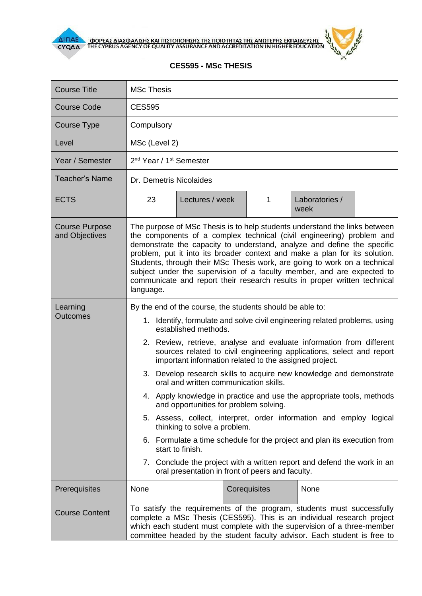



## **CES595 - MSc THESIS**

| <b>Course Title</b>                     | <b>MSc Thesis</b>                                                                                                                                                                                                                                                                                                                                                                                                                                                                                                                                                                                                                                                                                                                                                                                                                                                                                                                                   |  |  |  |  |
|-----------------------------------------|-----------------------------------------------------------------------------------------------------------------------------------------------------------------------------------------------------------------------------------------------------------------------------------------------------------------------------------------------------------------------------------------------------------------------------------------------------------------------------------------------------------------------------------------------------------------------------------------------------------------------------------------------------------------------------------------------------------------------------------------------------------------------------------------------------------------------------------------------------------------------------------------------------------------------------------------------------|--|--|--|--|
| <b>Course Code</b>                      | <b>CES595</b>                                                                                                                                                                                                                                                                                                                                                                                                                                                                                                                                                                                                                                                                                                                                                                                                                                                                                                                                       |  |  |  |  |
| <b>Course Type</b>                      | Compulsory                                                                                                                                                                                                                                                                                                                                                                                                                                                                                                                                                                                                                                                                                                                                                                                                                                                                                                                                          |  |  |  |  |
| Level                                   | MSc (Level 2)                                                                                                                                                                                                                                                                                                                                                                                                                                                                                                                                                                                                                                                                                                                                                                                                                                                                                                                                       |  |  |  |  |
| Year / Semester                         | 2 <sup>nd</sup> Year / 1 <sup>st</sup> Semester                                                                                                                                                                                                                                                                                                                                                                                                                                                                                                                                                                                                                                                                                                                                                                                                                                                                                                     |  |  |  |  |
| <b>Teacher's Name</b>                   | Dr. Demetris Nicolaides                                                                                                                                                                                                                                                                                                                                                                                                                                                                                                                                                                                                                                                                                                                                                                                                                                                                                                                             |  |  |  |  |
| <b>ECTS</b>                             | Laboratories /<br>23<br>Lectures / week<br>1<br>week                                                                                                                                                                                                                                                                                                                                                                                                                                                                                                                                                                                                                                                                                                                                                                                                                                                                                                |  |  |  |  |
| <b>Course Purpose</b><br>and Objectives | The purpose of MSc Thesis is to help students understand the links between<br>the components of a complex technical (civil engineering) problem and<br>demonstrate the capacity to understand, analyze and define the specific<br>problem, put it into its broader context and make a plan for its solution.<br>Students, through their MSc Thesis work, are going to work on a technical<br>subject under the supervision of a faculty member, and are expected to<br>communicate and report their research results in proper written technical<br>language.                                                                                                                                                                                                                                                                                                                                                                                       |  |  |  |  |
| Learning<br><b>Outcomes</b>             | By the end of the course, the students should be able to:<br>1. Identify, formulate and solve civil engineering related problems, using<br>established methods.<br>2. Review, retrieve, analyse and evaluate information from different<br>sources related to civil engineering applications, select and report<br>important information related to the assigned project.<br>3. Develop research skills to acquire new knowledge and demonstrate<br>oral and written communication skills.<br>4. Apply knowledge in practice and use the appropriate tools, methods<br>and opportunities for problem solving.<br>5. Assess, collect, interpret, order information and employ logical<br>thinking to solve a problem.<br>6. Formulate a time schedule for the project and plan its execution from<br>start to finish.<br>7. Conclude the project with a written report and defend the work in an<br>oral presentation in front of peers and faculty. |  |  |  |  |
| Prerequisites                           | None<br>Corequisites<br>None                                                                                                                                                                                                                                                                                                                                                                                                                                                                                                                                                                                                                                                                                                                                                                                                                                                                                                                        |  |  |  |  |
| <b>Course Content</b>                   | To satisfy the requirements of the program, students must successfully<br>complete a MSc Thesis (CES595). This is an individual research project<br>which each student must complete with the supervision of a three-member<br>committee headed by the student faculty advisor. Each student is free to                                                                                                                                                                                                                                                                                                                                                                                                                                                                                                                                                                                                                                             |  |  |  |  |